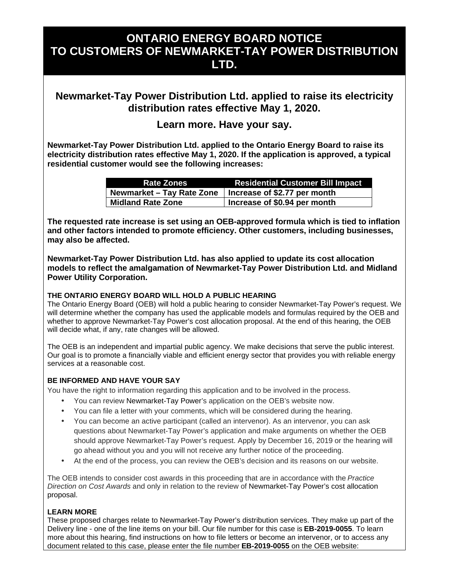# **ONTARIO ENERGY BOARD NOTICE TO CUSTOMERS OF NEWMARKET-TAY POWER DISTRIBUTION LTD.**

## **Newmarket-Tay Power Distribution Ltd. applied to raise its electricity distribution rates effective May 1, 2020.**

### **Learn more. Have your say.**

**Newmarket-Tay Power Distribution Ltd. applied to the Ontario Energy Board to raise its electricity distribution rates effective May 1, 2020. If the application is approved, a typical residential customer would see the following increases:** 

| <b>Rate Zones</b>                                        | <b>Residential Customer Bill Impact</b> |
|----------------------------------------------------------|-----------------------------------------|
| Newmarket – Tay Rate Zone   Increase of \$2.77 per month |                                         |
| Midland Rate Zone                                        | Increase of \$0.94 per month            |

**The requested rate increase is set using an OEB-approved formula which is tied to inflation and other factors intended to promote efficiency. Other customers, including businesses, may also be affected.** 

**Newmarket-Tay Power Distribution Ltd. has also applied to update its cost allocation models to reflect the amalgamation of Newmarket-Tay Power Distribution Ltd. and Midland Power Utility Corporation.** 

#### **THE ONTARIO ENERGY BOARD WILL HOLD A PUBLIC HEARING**

The Ontario Energy Board (OEB) will hold a public hearing to consider Newmarket-Tay Power's request. We will determine whether the company has used the applicable models and formulas required by the OEB and whether to approve Newmarket-Tay Power's cost allocation proposal. At the end of this hearing, the OEB will decide what, if any, rate changes will be allowed.

The OEB is an independent and impartial public agency. We make decisions that serve the public interest. Our goal is to promote a financially viable and efficient energy sector that provides you with reliable energy services at a reasonable cost.

#### **BE INFORMED AND HAVE YOUR SAY**

You have the right to information regarding this application and to be involved in the process.

- You can review Newmarket-Tay Power's application on the OEB's website now.
- You can file a letter with your comments, which will be considered during the hearing.
- You can become an active participant (called an intervenor). As an intervenor, you can ask questions about Newmarket-Tay Power's application and make arguments on whether the OEB should approve Newmarket-Tay Power's request. Apply by December 16, 2019 or the hearing will go ahead without you and you will not receive any further notice of the proceeding.
- At the end of the process, you can review the OEB's decision and its reasons on our website.

The OEB intends to consider cost awards in this proceeding that are in accordance with the *Practice Direction on Cost Awards* and only in relation to the review of Newmarket-Tay Power's cost allocation proposal.

#### **LEARN MORE**

These proposed charges relate to Newmarket-Tay Power's distribution services. They make up part of the Delivery line - one of the line items on your bill. Our file number for this case is **EB-2019-0055**. To learn more about this hearing, find instructions on how to file letters or become an intervenor, or to access any document related to this case, please enter the file number **EB-2019-0055** on the OEB website: